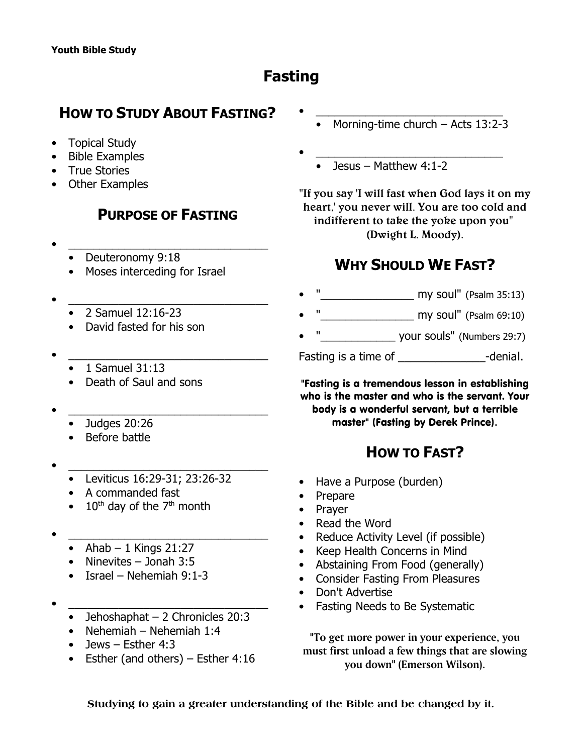# **Fasting**

## **HOW TO STUDY ABOUT FASTING?**

- Topical Study
- Bible Examples
- True Stories
- Other Examples

### **PURPOSE OF FASTING**

- $\bullet$   $\qquad \qquad$ 
	- Deuteronomy 9:18
	- Moses interceding for Israel
- $\bullet$   $\qquad \qquad$ 
	- 2 Samuel 12:16-23
	- David fasted for his son
- $\bullet$   $\qquad \qquad$ 
	- 1 Samuel 31:13
	- Death of Saul and sons
- $\bullet$   $\qquad \qquad$ 
	- Judges 20:26
	- Before battle
- $\bullet$   $\qquad \qquad$ 
	- Leviticus 16:29-31; 23:26-32
	- A commanded fast
	- $10<sup>th</sup>$  day of the 7<sup>th</sup> month
- $\bullet$   $\qquad \qquad$ 
	- Ahab  $-1$  Kings 21:27
	- Ninevites Jonah 3:5
	- Israel Nehemiah 9:1-3
- $\bullet$   $\qquad \qquad$ 
	- Jehoshaphat 2 Chronicles 20:3
	- Nehemiah Nehemiah 1:4
	- Jews Esther 4:3
	- Esther (and others) Esther 4:16
- $\bullet$   $\hspace{0.2cm}$   $\hspace{0.2cm}$   $\hspace{0.2cm}$   $\hspace{0.2cm}$   $\hspace{0.2cm}$   $\hspace{0.2cm}$   $\hspace{0.2cm}$   $\hspace{0.2cm}$   $\hspace{0.2cm}$   $\hspace{0.2cm}$   $\hspace{0.2cm}$   $\hspace{0.2cm}$   $\hspace{0.2cm}$   $\hspace{0.2cm}$   $\hspace{0.2cm}$   $\hspace{0.2cm}$   $\hspace{0.2cm}$   $\hspace{0.2cm}$  • Morning-time church – Acts 13:2-3
- $\bullet$   $\hspace{0.2cm}$   $\hspace{0.2cm}$   $\hspace{0.2cm}$   $\hspace{0.2cm}$   $\hspace{0.2cm}$   $\hspace{0.2cm}$   $\hspace{0.2cm}$   $\hspace{0.2cm}$   $\hspace{0.2cm}$   $\hspace{0.2cm}$   $\hspace{0.2cm}$   $\hspace{0.2cm}$   $\hspace{0.2cm}$   $\hspace{0.2cm}$   $\hspace{0.2cm}$   $\hspace{0.2cm}$   $\hspace{0.2cm}$   $\hspace{0.2cm}$ 
	- Jesus Matthew  $4:1-2$

**"If you say 'I will fast when God lays it on my heart,' you never will. You are too cold and indifferent to take the yoke upon you" (Dwight L. Moody).**

## **WHY SHOULD WE FAST?**

- "\_\_\_\_\_\_\_\_\_\_\_\_\_\_\_ my soul" (Psalm 35:13)
- $my$  soul" (Psalm 69:10)
- "\_\_\_\_\_\_\_\_\_\_\_\_ your souls" (Numbers 29:7)

Fasting is a time of Table 3 and the Henrich Henrich Adenial.

"Fasting is a tremendous lesson in establishing who is the master and who is the servant. Your body is a wonderful servant, but a terrible master" (*Fasting* by Derek Prince).

## **HOW TO FAST?**

- Have a Purpose (burden)
- Prepare
- Prayer
- Read the Word
- Reduce Activity Level (if possible)
- Keep Health Concerns in Mind
- Abstaining From Food (generally)
- Consider Fasting From Pleasures
- Don't Advertise
- Fasting Needs to Be Systematic

**"To get more power in your experience, you must first unload a few things that are slowing you down" (Emerson Wilson).**

**Studying to gain a greater understanding of the Bible and be changed by it.**